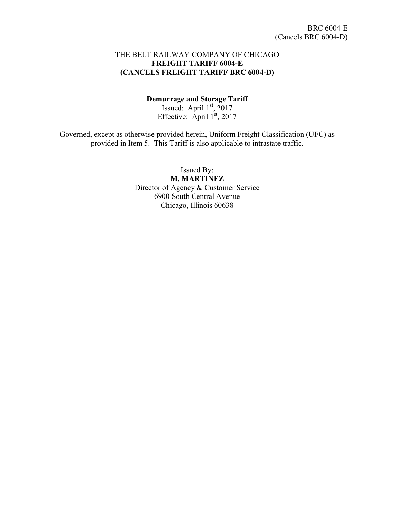#### THE BELT RAILWAY COMPANY OF CHICAGO **FREIGHT TARIFF 6004-E (CANCELS FREIGHT TARIFF BRC 6004-D)**

#### **Demurrage and Storage Tariff**

Issued: April  $1<sup>st</sup>$ , 2017 Effective: April  $1<sup>st</sup>$ , 2017

Governed, except as otherwise provided herein, Uniform Freight Classification (UFC) as provided in Item 5. This Tariff is also applicable to intrastate traffic.

> Issued By: **M. MARTINEZ** Director of Agency & Customer Service 6900 South Central Avenue Chicago, Illinois 60638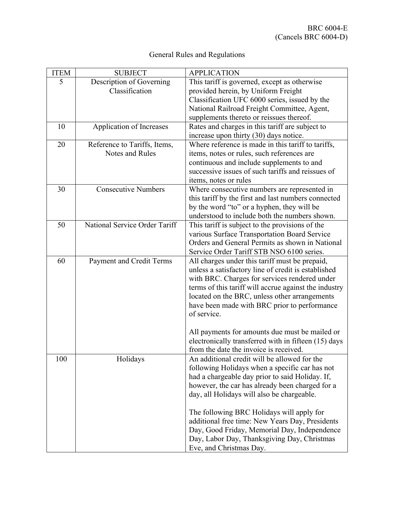| General Rules and Regulations |  |  |  |  |
|-------------------------------|--|--|--|--|
|-------------------------------|--|--|--|--|

| <b>ITEM</b> | <b>SUBJECT</b>                | <b>APPLICATION</b>                                                                     |
|-------------|-------------------------------|----------------------------------------------------------------------------------------|
| 5           | Description of Governing      | This tariff is governed, except as otherwise                                           |
|             | Classification                | provided herein, by Uniform Freight                                                    |
|             |                               | Classification UFC 6000 series, issued by the                                          |
|             |                               | National Railroad Freight Committee, Agent,                                            |
|             |                               | supplements thereto or reissues thereof.                                               |
| 10          | Application of Increases      | Rates and charges in this tariff are subject to                                        |
|             |                               | increase upon thirty (30) days notice.                                                 |
| 20          | Reference to Tariffs, Items,  | Where reference is made in this tariff to tariffs,                                     |
|             | Notes and Rules               | items, notes or rules, such references are                                             |
|             |                               | continuous and include supplements to and                                              |
|             |                               | successive issues of such tariffs and reissues of                                      |
|             |                               | items, notes or rules                                                                  |
| 30          | <b>Consecutive Numbers</b>    | Where consecutive numbers are represented in                                           |
|             |                               | this tariff by the first and last numbers connected                                    |
|             |                               | by the word "to" or a hyphen, they will be                                             |
|             |                               | understood to include both the numbers shown.                                          |
| 50          | National Service Order Tariff | This tariff is subject to the provisions of the                                        |
|             |                               | various Surface Transportation Board Service                                           |
|             |                               | Orders and General Permits as shown in National                                        |
|             |                               | Service Order Tariff STB NSO 6100 series.                                              |
| 60          | Payment and Credit Terms      | All charges under this tariff must be prepaid,                                         |
|             |                               | unless a satisfactory line of credit is established                                    |
|             |                               | with BRC. Charges for services rendered under                                          |
|             |                               | terms of this tariff will accrue against the industry                                  |
|             |                               | located on the BRC, unless other arrangements                                          |
|             |                               | have been made with BRC prior to performance                                           |
|             |                               | of service.                                                                            |
|             |                               |                                                                                        |
|             |                               | All payments for amounts due must be mailed or                                         |
|             |                               | electronically transferred with in fifteen (15) days                                   |
|             |                               | from the date the invoice is received.<br>An additional credit will be allowed for the |
| 100         | Holidays                      | following Holidays when a specific car has not                                         |
|             |                               | had a chargeable day prior to said Holiday. If,                                        |
|             |                               | however, the car has already been charged for a                                        |
|             |                               | day, all Holidays will also be chargeable.                                             |
|             |                               |                                                                                        |
|             |                               | The following BRC Holidays will apply for                                              |
|             |                               | additional free time: New Years Day, Presidents                                        |
|             |                               | Day, Good Friday, Memorial Day, Independence                                           |
|             |                               | Day, Labor Day, Thanksgiving Day, Christmas                                            |
|             |                               | Eve, and Christmas Day.                                                                |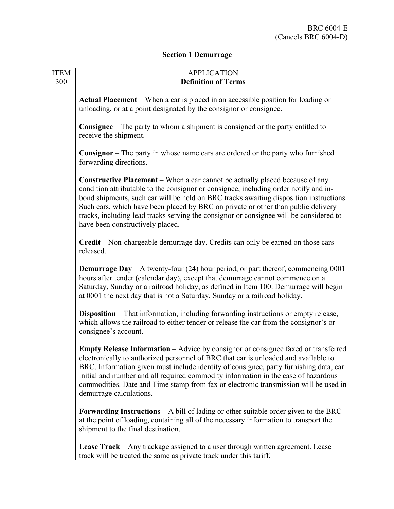# **Section 1 Demurrage**

| <b>ITEM</b> | <b>APPLICATION</b>                                                                                                                                                                                                                                                                                                                                                                                                                                                                       |
|-------------|------------------------------------------------------------------------------------------------------------------------------------------------------------------------------------------------------------------------------------------------------------------------------------------------------------------------------------------------------------------------------------------------------------------------------------------------------------------------------------------|
| 300         | <b>Definition of Terms</b>                                                                                                                                                                                                                                                                                                                                                                                                                                                               |
|             | Actual Placement – When a car is placed in an accessible position for loading or<br>unloading, or at a point designated by the consignor or consignee.                                                                                                                                                                                                                                                                                                                                   |
|             | <b>Consignee</b> $-$ The party to whom a shipment is consigned or the party entitled to<br>receive the shipment.                                                                                                                                                                                                                                                                                                                                                                         |
|             | <b>Consignor</b> – The party in whose name cars are ordered or the party who furnished<br>forwarding directions.                                                                                                                                                                                                                                                                                                                                                                         |
|             | <b>Constructive Placement</b> – When a car cannot be actually placed because of any<br>condition attributable to the consignor or consignee, including order notify and in-<br>bond shipments, such car will be held on BRC tracks awaiting disposition instructions.<br>Such cars, which have been placed by BRC on private or other than public delivery<br>tracks, including lead tracks serving the consignor or consignee will be considered to<br>have been constructively placed. |
|             | Credit – Non-chargeable demurrage day. Credits can only be earned on those cars<br>released.                                                                                                                                                                                                                                                                                                                                                                                             |
|             | <b>Demurrage Day</b> – A twenty-four (24) hour period, or part thereof, commencing $0001$<br>hours after tender (calendar day), except that demurrage cannot commence on a<br>Saturday, Sunday or a railroad holiday, as defined in Item 100. Demurrage will begin<br>at 0001 the next day that is not a Saturday, Sunday or a railroad holiday.                                                                                                                                         |
|             | <b>Disposition</b> – That information, including forwarding instructions or empty release,<br>which allows the railroad to either tender or release the car from the consignor's or<br>consignee's account.                                                                                                                                                                                                                                                                              |
|             | Empty Release Information - Advice by consignor or consignee faxed or transferred<br>electronically to authorized personnel of BRC that car is unloaded and available to<br>BRC. Information given must include identity of consignee, party furnishing data, car<br>initial and number and all required commodity information in the case of hazardous<br>commodities. Date and Time stamp from fax or electronic transmission will be used in<br>demurrage calculations.               |
|             | <b>Forwarding Instructions</b> $- A$ bill of lading or other suitable order given to the BRC<br>at the point of loading, containing all of the necessary information to transport the<br>shipment to the final destination.                                                                                                                                                                                                                                                              |
|             | <b>Lease Track</b> – Any trackage assigned to a user through written agreement. Lease<br>track will be treated the same as private track under this tariff.                                                                                                                                                                                                                                                                                                                              |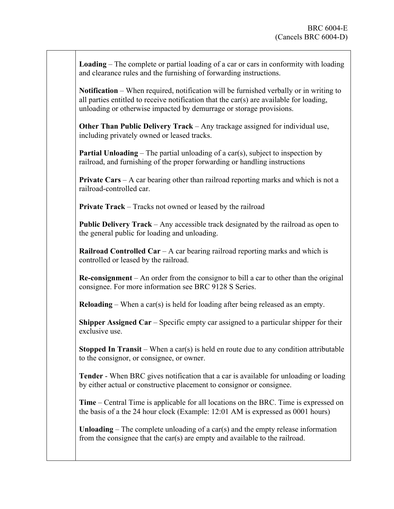**Loading** – The complete or partial loading of a car or cars in conformity with loading and clearance rules and the furnishing of forwarding instructions.

**Notification** – When required, notification will be furnished verbally or in writing to all parties entitled to receive notification that the car(s) are available for loading, unloading or otherwise impacted by demurrage or storage provisions.

**Other Than Public Delivery Track** – Any trackage assigned for individual use, including privately owned or leased tracks.

**Partial Unloading** – The partial unloading of a car(s), subject to inspection by railroad, and furnishing of the proper forwarding or handling instructions

**Private Cars** – A car bearing other than railroad reporting marks and which is not a railroad-controlled car.

**Private Track** – Tracks not owned or leased by the railroad

**Public Delivery Track** – Any accessible track designated by the railroad as open to the general public for loading and unloading.

**Railroad Controlled Car** – A car bearing railroad reporting marks and which is controlled or leased by the railroad.

**Re-consignment** – An order from the consignor to bill a car to other than the original consignee. For more information see BRC 9128 S Series.

**Reloading** – When a car(s) is held for loading after being released as an empty.

**Shipper Assigned Car** – Specific empty car assigned to a particular shipper for their exclusive use.

**Stopped In Transit** – When a car(s) is held en route due to any condition attributable to the consignor, or consignee, or owner.

**Tender** - When BRC gives notification that a car is available for unloading or loading by either actual or constructive placement to consignor or consignee.

**Time** – Central Time is applicable for all locations on the BRC. Time is expressed on the basis of a the 24 hour clock (Example: 12:01 AM is expressed as 0001 hours)

**Unloading** – The complete unloading of a car(s) and the empty release information from the consignee that the car(s) are empty and available to the railroad.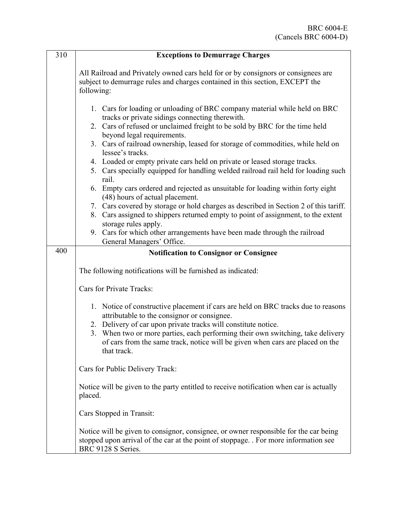| 310 | <b>Exceptions to Demurrage Charges</b>                                                                                                                                                                                                                                                                                                                                                                                                                                                                                                                                                                                                                                                                                                                                                                                                                   |
|-----|----------------------------------------------------------------------------------------------------------------------------------------------------------------------------------------------------------------------------------------------------------------------------------------------------------------------------------------------------------------------------------------------------------------------------------------------------------------------------------------------------------------------------------------------------------------------------------------------------------------------------------------------------------------------------------------------------------------------------------------------------------------------------------------------------------------------------------------------------------|
|     | All Railroad and Privately owned cars held for or by consignors or consignees are<br>subject to demurrage rules and charges contained in this section, EXCEPT the<br>following:                                                                                                                                                                                                                                                                                                                                                                                                                                                                                                                                                                                                                                                                          |
|     | 1. Cars for loading or unloading of BRC company material while held on BRC<br>tracks or private sidings connecting therewith.<br>2. Cars of refused or unclaimed freight to be sold by BRC for the time held<br>beyond legal requirements.<br>3. Cars of railroad ownership, leased for storage of commodities, while held on<br>lessee's tracks.<br>4. Loaded or empty private cars held on private or leased storage tracks.<br>5. Cars specially equipped for handling welded railroad rail held for loading such<br>rail.<br>6. Empty cars ordered and rejected as unsuitable for loading within forty eight<br>(48) hours of actual placement.<br>7. Cars covered by storage or hold charges as described in Section 2 of this tariff.<br>8. Cars assigned to shippers returned empty to point of assignment, to the extent<br>storage rules apply. |
|     | 9. Cars for which other arrangements have been made through the railroad<br>General Managers' Office.                                                                                                                                                                                                                                                                                                                                                                                                                                                                                                                                                                                                                                                                                                                                                    |
| 400 | <b>Notification to Consignor or Consignee</b>                                                                                                                                                                                                                                                                                                                                                                                                                                                                                                                                                                                                                                                                                                                                                                                                            |
|     | The following notifications will be furnished as indicated:<br>Cars for Private Tracks:                                                                                                                                                                                                                                                                                                                                                                                                                                                                                                                                                                                                                                                                                                                                                                  |
|     | 1. Notice of constructive placement if cars are held on BRC tracks due to reasons<br>attributable to the consignor or consignee.<br>2. Delivery of car upon private tracks will constitute notice.<br>3. When two or more parties, each performing their own switching, take delivery<br>of cars from the same track, notice will be given when cars are placed on the<br>that track.                                                                                                                                                                                                                                                                                                                                                                                                                                                                    |
|     | Cars for Public Delivery Track:                                                                                                                                                                                                                                                                                                                                                                                                                                                                                                                                                                                                                                                                                                                                                                                                                          |
|     | Notice will be given to the party entitled to receive notification when car is actually<br>placed.                                                                                                                                                                                                                                                                                                                                                                                                                                                                                                                                                                                                                                                                                                                                                       |
|     | Cars Stopped in Transit:                                                                                                                                                                                                                                                                                                                                                                                                                                                                                                                                                                                                                                                                                                                                                                                                                                 |
|     | Notice will be given to consignor, consignee, or owner responsible for the car being<br>stopped upon arrival of the car at the point of stoppage. For more information see<br>BRC 9128 S Series.                                                                                                                                                                                                                                                                                                                                                                                                                                                                                                                                                                                                                                                         |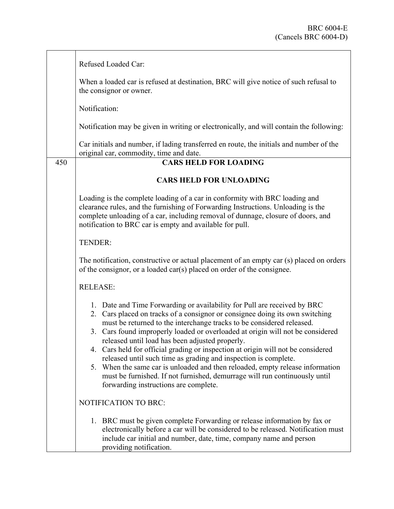|     | Refused Loaded Car:                                                                                                                                                                                                                                                                                                                                                                                                                                                                                                                                                                                                                                                                                                                   |
|-----|---------------------------------------------------------------------------------------------------------------------------------------------------------------------------------------------------------------------------------------------------------------------------------------------------------------------------------------------------------------------------------------------------------------------------------------------------------------------------------------------------------------------------------------------------------------------------------------------------------------------------------------------------------------------------------------------------------------------------------------|
|     | When a loaded car is refused at destination, BRC will give notice of such refusal to<br>the consignor or owner.                                                                                                                                                                                                                                                                                                                                                                                                                                                                                                                                                                                                                       |
|     | Notification:                                                                                                                                                                                                                                                                                                                                                                                                                                                                                                                                                                                                                                                                                                                         |
|     | Notification may be given in writing or electronically, and will contain the following:                                                                                                                                                                                                                                                                                                                                                                                                                                                                                                                                                                                                                                               |
|     | Car initials and number, if lading transferred en route, the initials and number of the<br>original car, commodity, time and date.                                                                                                                                                                                                                                                                                                                                                                                                                                                                                                                                                                                                    |
| 450 | <b>CARS HELD FOR LOADING</b>                                                                                                                                                                                                                                                                                                                                                                                                                                                                                                                                                                                                                                                                                                          |
|     | <b>CARS HELD FOR UNLOADING</b>                                                                                                                                                                                                                                                                                                                                                                                                                                                                                                                                                                                                                                                                                                        |
|     | Loading is the complete loading of a car in conformity with BRC loading and<br>clearance rules, and the furnishing of Forwarding Instructions. Unloading is the<br>complete unloading of a car, including removal of dunnage, closure of doors, and<br>notification to BRC car is empty and available for pull.                                                                                                                                                                                                                                                                                                                                                                                                                       |
|     | TENDER:                                                                                                                                                                                                                                                                                                                                                                                                                                                                                                                                                                                                                                                                                                                               |
|     | The notification, constructive or actual placement of an empty car (s) placed on orders<br>of the consignor, or a loaded car(s) placed on order of the consignee.                                                                                                                                                                                                                                                                                                                                                                                                                                                                                                                                                                     |
|     | <b>RELEASE:</b>                                                                                                                                                                                                                                                                                                                                                                                                                                                                                                                                                                                                                                                                                                                       |
|     | 1. Date and Time Forwarding or availability for Pull are received by BRC<br>2. Cars placed on tracks of a consignor or consignee doing its own switching<br>must be returned to the interchange tracks to be considered released.<br>3. Cars found improperly loaded or overloaded at origin will not be considered<br>released until load has been adjusted properly.<br>4. Cars held for official grading or inspection at origin will not be considered<br>released until such time as grading and inspection is complete.<br>5. When the same car is unloaded and then reloaded, empty release information<br>must be furnished. If not furnished, demurrage will run continuously until<br>forwarding instructions are complete. |
|     | NOTIFICATION TO BRC:                                                                                                                                                                                                                                                                                                                                                                                                                                                                                                                                                                                                                                                                                                                  |
|     | 1. BRC must be given complete Forwarding or release information by fax or<br>electronically before a car will be considered to be released. Notification must<br>include car initial and number, date, time, company name and person<br>providing notification.                                                                                                                                                                                                                                                                                                                                                                                                                                                                       |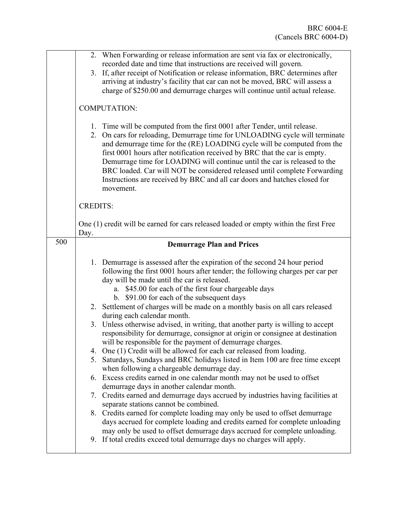|     | 2. When Forwarding or release information are sent via fax or electronically,<br>recorded date and time that instructions are received will govern.<br>3. If, after receipt of Notification or release information, BRC determines after<br>arriving at industry's facility that car can not be moved, BRC will assess a<br>charge of \$250.00 and demurrage charges will continue until actual release.                                                                                                                                                                                                                                                                                                                                                                                                                                                                                                                                                                                                                                                                                                                                                                                                                                                                                                                                                                                                                                                   |
|-----|------------------------------------------------------------------------------------------------------------------------------------------------------------------------------------------------------------------------------------------------------------------------------------------------------------------------------------------------------------------------------------------------------------------------------------------------------------------------------------------------------------------------------------------------------------------------------------------------------------------------------------------------------------------------------------------------------------------------------------------------------------------------------------------------------------------------------------------------------------------------------------------------------------------------------------------------------------------------------------------------------------------------------------------------------------------------------------------------------------------------------------------------------------------------------------------------------------------------------------------------------------------------------------------------------------------------------------------------------------------------------------------------------------------------------------------------------------|
|     | <b>COMPUTATION:</b>                                                                                                                                                                                                                                                                                                                                                                                                                                                                                                                                                                                                                                                                                                                                                                                                                                                                                                                                                                                                                                                                                                                                                                                                                                                                                                                                                                                                                                        |
|     | 1. Time will be computed from the first 0001 after Tender, until release.<br>2. On cars for reloading, Demurrage time for UNLOADING cycle will terminate<br>and demurrage time for the (RE) LOADING cycle will be computed from the<br>first 0001 hours after notification received by BRC that the car is empty.<br>Demurrage time for LOADING will continue until the car is released to the<br>BRC loaded. Car will NOT be considered released until complete Forwarding<br>Instructions are received by BRC and all car doors and hatches closed for<br>movement.                                                                                                                                                                                                                                                                                                                                                                                                                                                                                                                                                                                                                                                                                                                                                                                                                                                                                      |
|     | <b>CREDITS:</b>                                                                                                                                                                                                                                                                                                                                                                                                                                                                                                                                                                                                                                                                                                                                                                                                                                                                                                                                                                                                                                                                                                                                                                                                                                                                                                                                                                                                                                            |
|     | One (1) credit will be earned for cars released loaded or empty within the first Free<br>Day.                                                                                                                                                                                                                                                                                                                                                                                                                                                                                                                                                                                                                                                                                                                                                                                                                                                                                                                                                                                                                                                                                                                                                                                                                                                                                                                                                              |
| 500 | <b>Demurrage Plan and Prices</b>                                                                                                                                                                                                                                                                                                                                                                                                                                                                                                                                                                                                                                                                                                                                                                                                                                                                                                                                                                                                                                                                                                                                                                                                                                                                                                                                                                                                                           |
|     | 1. Demurrage is assessed after the expiration of the second 24 hour period<br>following the first 0001 hours after tender; the following charges per car per<br>day will be made until the car is released.<br>a. \$45.00 for each of the first four chargeable days<br>b. \$91.00 for each of the subsequent days<br>2. Settlement of charges will be made on a monthly basis on all cars released<br>during each calendar month.<br>3. Unless otherwise advised, in writing, that another party is willing to accept<br>responsibility for demurrage, consignor at origin or consignee at destination<br>will be responsible for the payment of demurrage charges.<br>4. One (1) Credit will be allowed for each car released from loading.<br>Saturdays, Sundays and BRC holidays listed in Item 100 are free time except<br>5.<br>when following a chargeable demurrage day.<br>6. Excess credits earned in one calendar month may not be used to offset<br>demurrage days in another calendar month.<br>7. Credits earned and demurrage days accrued by industries having facilities at<br>separate stations cannot be combined.<br>8. Credits earned for complete loading may only be used to offset demurrage<br>days accrued for complete loading and credits earned for complete unloading<br>may only be used to offset demurrage days accrued for complete unloading.<br>9. If total credits exceed total demurrage days no charges will apply. |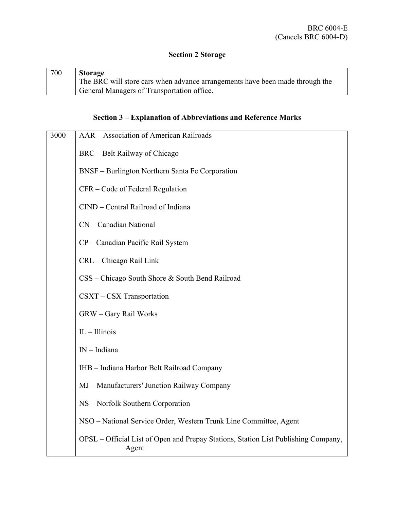# **Section 2 Storage**

| 700 | <b>Storage</b>                                                               |
|-----|------------------------------------------------------------------------------|
|     | The BRC will store cars when advance arrangements have been made through the |
|     | General Managers of Transportation office.                                   |

### **Section 3 – Explanation of Abbreviations and Reference Marks**

| 3000 | AAR - Association of American Railroads                                                     |
|------|---------------------------------------------------------------------------------------------|
|      | BRC – Belt Railway of Chicago                                                               |
|      | BNSF – Burlington Northern Santa Fe Corporation                                             |
|      | CFR – Code of Federal Regulation                                                            |
|      | CIND - Central Railroad of Indiana                                                          |
|      | CN - Canadian National                                                                      |
|      | CP - Canadian Pacific Rail System                                                           |
|      | CRL - Chicago Rail Link                                                                     |
|      | CSS – Chicago South Shore & South Bend Railroad                                             |
|      | CSXT - CSX Transportation                                                                   |
|      | GRW - Gary Rail Works                                                                       |
|      | $IL - Illinois$                                                                             |
|      | $IN$ – Indiana                                                                              |
|      | IHB - Indiana Harbor Belt Railroad Company                                                  |
|      | MJ - Manufacturers' Junction Railway Company                                                |
|      | NS - Norfolk Southern Corporation                                                           |
|      | NSO - National Service Order, Western Trunk Line Committee, Agent                           |
|      | OPSL – Official List of Open and Prepay Stations, Station List Publishing Company,<br>Agent |